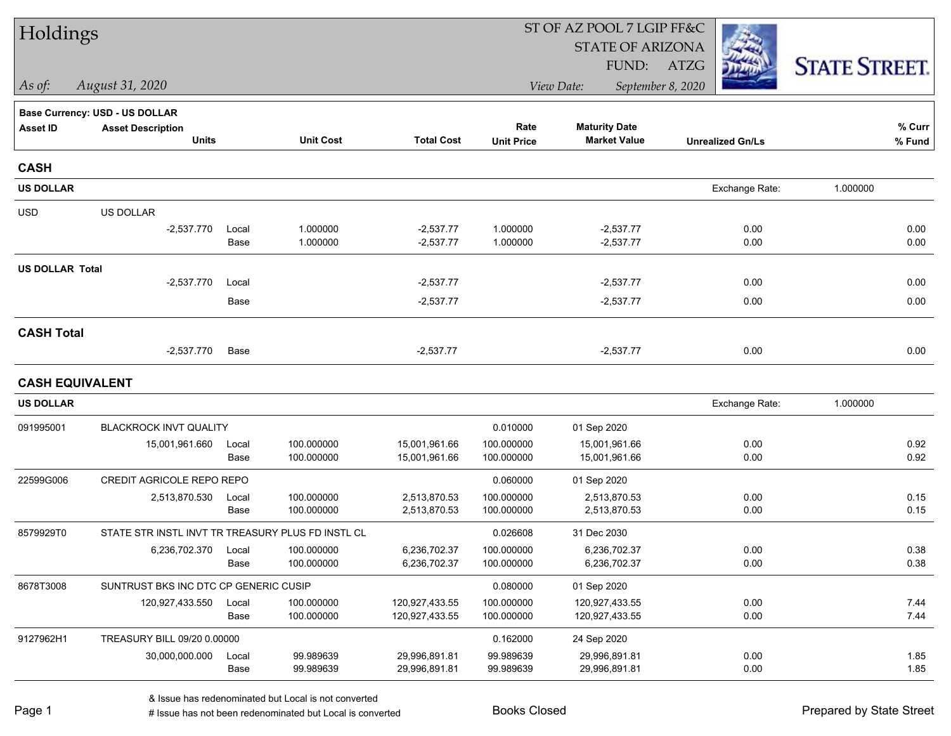| Holdings               |                                                   |               |                          |                              |                           | ST OF AZ POOL 7 LGIP FF&C                   |                         |                      |
|------------------------|---------------------------------------------------|---------------|--------------------------|------------------------------|---------------------------|---------------------------------------------|-------------------------|----------------------|
|                        |                                                   |               |                          |                              |                           | <b>STATE OF ARIZONA</b>                     |                         |                      |
|                        |                                                   |               |                          |                              |                           | FUND:                                       | ATZG                    | <b>STATE STREET.</b> |
| As of:                 | August 31, 2020                                   |               |                          |                              |                           | View Date:                                  | September 8, 2020       |                      |
|                        | Base Currency: USD - US DOLLAR                    |               |                          |                              |                           |                                             |                         |                      |
| <b>Asset ID</b>        | <b>Asset Description</b><br><b>Units</b>          |               | <b>Unit Cost</b>         | <b>Total Cost</b>            | Rate<br><b>Unit Price</b> | <b>Maturity Date</b><br><b>Market Value</b> | <b>Unrealized Gn/Ls</b> | % Curr<br>% Fund     |
| <b>CASH</b>            |                                                   |               |                          |                              |                           |                                             |                         |                      |
| <b>US DOLLAR</b>       |                                                   |               |                          |                              |                           |                                             | Exchange Rate:          | 1.000000             |
| <b>USD</b>             | US DOLLAR                                         |               |                          |                              |                           |                                             |                         |                      |
|                        | $-2,537.770$                                      | Local<br>Base | 1.000000<br>1.000000     | $-2,537.77$<br>$-2,537.77$   | 1.000000<br>1.000000      | $-2,537.77$<br>$-2,537.77$                  | 0.00<br>0.00            | 0.00<br>0.00         |
| <b>US DOLLAR Total</b> |                                                   |               |                          |                              |                           |                                             |                         |                      |
|                        | $-2,537.770$                                      | Local         |                          | $-2,537.77$                  |                           | $-2,537.77$                                 | 0.00                    | 0.00                 |
|                        |                                                   | Base          |                          | $-2,537.77$                  |                           | $-2,537.77$                                 | 0.00                    | 0.00                 |
| <b>CASH Total</b>      |                                                   |               |                          |                              |                           |                                             |                         |                      |
|                        | $-2,537.770$                                      | Base          |                          | $-2,537.77$                  |                           | $-2,537.77$                                 | 0.00                    | 0.00                 |
| <b>CASH EQUIVALENT</b> |                                                   |               |                          |                              |                           |                                             |                         |                      |
| <b>US DOLLAR</b>       |                                                   |               |                          |                              |                           |                                             | Exchange Rate:          | 1.000000             |
| 091995001              | BLACKROCK INVT QUALITY                            |               |                          |                              | 0.010000                  | 01 Sep 2020                                 |                         |                      |
|                        | 15,001,961.660                                    | Local         | 100.000000               | 15,001,961.66                | 100.000000                | 15,001,961.66                               | 0.00                    | 0.92                 |
|                        |                                                   | Base          | 100.000000               | 15,001,961.66                | 100.000000                | 15,001,961.66                               | 0.00                    | 0.92                 |
| 22599G006              | CREDIT AGRICOLE REPO REPO                         |               |                          |                              | 0.060000                  | 01 Sep 2020                                 |                         |                      |
|                        | 2,513,870.530                                     | Local<br>Base | 100.000000<br>100.000000 | 2,513,870.53<br>2,513,870.53 | 100.000000<br>100.000000  | 2,513,870.53<br>2,513,870.53                | 0.00<br>0.00            | 0.15<br>0.15         |
| 8579929T0              | STATE STR INSTL INVT TR TREASURY PLUS FD INSTL CL |               |                          |                              | 0.026608                  | 31 Dec 2030                                 |                         |                      |
|                        | 6,236,702.370                                     | Local         | 100.000000               | 6,236,702.37                 | 100.000000                | 6,236,702.37                                | 0.00                    | 0.38                 |
|                        |                                                   | Base          | 100.000000               | 6,236,702.37                 | 100.000000                | 6,236,702.37                                | 0.00                    | 0.38                 |
| 8678T3008              | SUNTRUST BKS INC DTC CP GENERIC CUSIP             |               |                          |                              | 0.080000                  | 01 Sep 2020                                 |                         |                      |
|                        | 120,927,433.550                                   | Local         | 100.000000               | 120,927,433.55               | 100.000000                | 120,927,433.55                              | 0.00                    | 7.44                 |
|                        |                                                   | Base          | 100.000000               | 120,927,433.55               | 100.000000                | 120,927,433.55                              | 0.00                    | 7.44                 |
| 9127962H1              | TREASURY BILL 09/20 0.00000                       |               |                          |                              | 0.162000                  | 24 Sep 2020                                 |                         |                      |
|                        | 30,000,000.000                                    | Local         | 99.989639                | 29,996,891.81                | 99.989639                 | 29,996,891.81                               | 0.00                    | 1.85                 |
|                        |                                                   | Base          | 99.989639                | 29,996,891.81                | 99.989639                 | 29,996,891.81                               | 0.00                    | 1.85                 |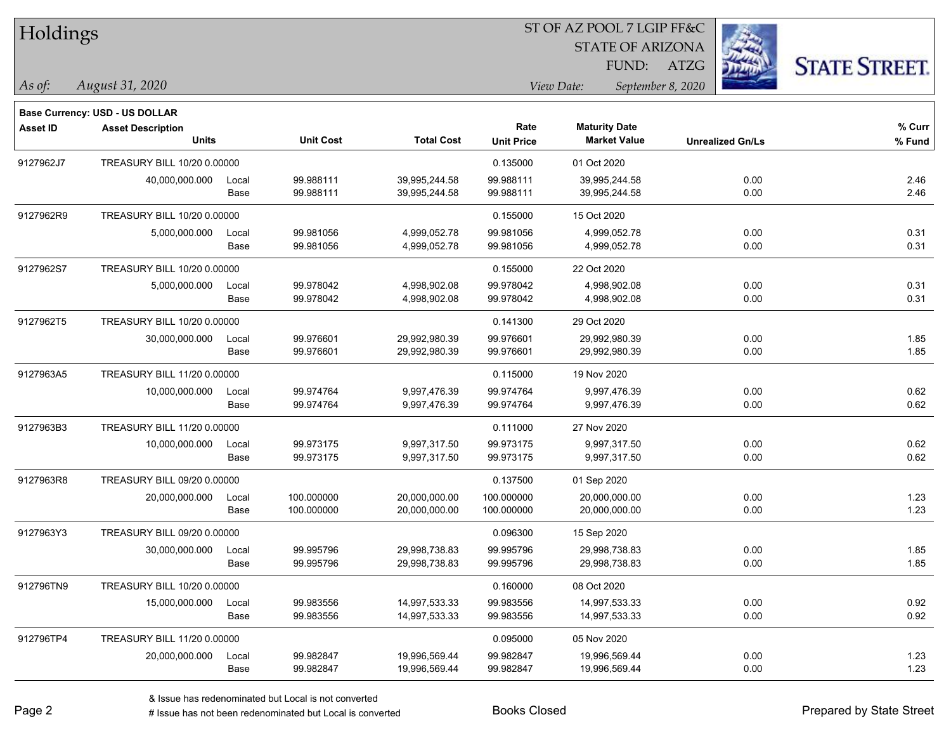| Holdings        |                                                                   |       |                  |                   | ST OF AZ POOL 7 LGIP FF&C |                         |                         |      |                      |
|-----------------|-------------------------------------------------------------------|-------|------------------|-------------------|---------------------------|-------------------------|-------------------------|------|----------------------|
|                 |                                                                   |       |                  |                   |                           | <b>STATE OF ARIZONA</b> |                         |      |                      |
|                 |                                                                   |       |                  |                   |                           | FUND:                   | <b>ATZG</b>             |      | <b>STATE STREET.</b> |
| $\vert$ As of:  | August 31, 2020                                                   |       |                  |                   |                           | View Date:              | September 8, 2020       |      |                      |
|                 |                                                                   |       |                  |                   |                           |                         |                         |      |                      |
| <b>Asset ID</b> | <b>Base Currency: USD - US DOLLAR</b><br><b>Asset Description</b> |       |                  |                   | Rate                      | <b>Maturity Date</b>    |                         |      | % Curr               |
|                 | <b>Units</b>                                                      |       | <b>Unit Cost</b> | <b>Total Cost</b> | <b>Unit Price</b>         | <b>Market Value</b>     | <b>Unrealized Gn/Ls</b> |      | % Fund               |
| 9127962J7       | TREASURY BILL 10/20 0.00000                                       |       |                  |                   | 0.135000                  | 01 Oct 2020             |                         |      |                      |
|                 | 40,000,000.000                                                    | Local | 99.988111        | 39,995,244.58     | 99.988111                 | 39,995,244.58           |                         | 0.00 | 2.46                 |
|                 |                                                                   | Base  | 99.988111        | 39,995,244.58     | 99.988111                 | 39,995,244.58           |                         | 0.00 | 2.46                 |
| 9127962R9       | TREASURY BILL 10/20 0.00000                                       |       |                  |                   | 0.155000                  | 15 Oct 2020             |                         |      |                      |
|                 | 5,000,000.000                                                     | Local | 99.981056        | 4,999,052.78      | 99.981056                 | 4,999,052.78            |                         | 0.00 | 0.31                 |
|                 |                                                                   | Base  | 99.981056        | 4,999,052.78      | 99.981056                 | 4,999,052.78            |                         | 0.00 | 0.31                 |
| 9127962S7       | TREASURY BILL 10/20 0.00000                                       |       |                  |                   | 0.155000                  | 22 Oct 2020             |                         |      |                      |
|                 | 5,000,000.000                                                     | Local | 99.978042        | 4,998,902.08      | 99.978042                 | 4,998,902.08            |                         | 0.00 | 0.31                 |
|                 |                                                                   | Base  | 99.978042        | 4,998,902.08      | 99.978042                 | 4,998,902.08            |                         | 0.00 | 0.31                 |
| 9127962T5       | TREASURY BILL 10/20 0.00000                                       |       |                  |                   | 0.141300                  | 29 Oct 2020             |                         |      |                      |
|                 | 30,000,000.000                                                    | Local | 99.976601        | 29,992,980.39     | 99.976601                 | 29,992,980.39           |                         | 0.00 | 1.85                 |
|                 |                                                                   | Base  | 99.976601        | 29,992,980.39     | 99.976601                 | 29,992,980.39           |                         | 0.00 | 1.85                 |
| 9127963A5       | TREASURY BILL 11/20 0.00000                                       |       |                  |                   | 0.115000                  | 19 Nov 2020             |                         |      |                      |
|                 | 10,000,000.000                                                    | Local | 99.974764        | 9,997,476.39      | 99.974764                 | 9,997,476.39            |                         | 0.00 | 0.62                 |
|                 |                                                                   | Base  | 99.974764        | 9,997,476.39      | 99.974764                 | 9,997,476.39            |                         | 0.00 | 0.62                 |
| 9127963B3       | TREASURY BILL 11/20 0.00000                                       |       |                  |                   | 0.111000                  | 27 Nov 2020             |                         |      |                      |
|                 | 10,000,000.000                                                    | Local | 99.973175        | 9,997,317.50      | 99.973175                 | 9,997,317.50            |                         | 0.00 | 0.62                 |
|                 |                                                                   | Base  | 99.973175        | 9,997,317.50      | 99.973175                 | 9,997,317.50            |                         | 0.00 | 0.62                 |
| 9127963R8       | TREASURY BILL 09/20 0.00000                                       |       |                  |                   | 0.137500                  | 01 Sep 2020             |                         |      |                      |
|                 | 20,000,000.000                                                    | Local | 100.000000       | 20,000,000.00     | 100.000000                | 20,000,000.00           |                         | 0.00 | 1.23                 |
|                 |                                                                   | Base  | 100.000000       | 20,000,000.00     | 100.000000                | 20,000,000.00           |                         | 0.00 | 1.23                 |
| 9127963Y3       | TREASURY BILL 09/20 0.00000                                       |       |                  |                   | 0.096300                  | 15 Sep 2020             |                         |      |                      |
|                 | 30,000,000.000                                                    | Local | 99.995796        | 29,998,738.83     | 99.995796                 | 29,998,738.83           |                         | 0.00 | 1.85                 |
|                 |                                                                   | Base  | 99.995796        | 29,998,738.83     | 99.995796                 | 29,998,738.83           |                         | 0.00 | 1.85                 |
| 912796TN9       | TREASURY BILL 10/20 0.00000                                       |       |                  |                   | 0.160000                  | 08 Oct 2020             |                         |      |                      |
|                 | 15,000,000.000                                                    | Local | 99.983556        | 14,997,533.33     | 99.983556                 | 14,997,533.33           |                         | 0.00 | 0.92                 |
|                 |                                                                   | Base  | 99.983556        | 14,997,533.33     | 99.983556                 | 14,997,533.33           |                         | 0.00 | 0.92                 |
| 912796TP4       | TREASURY BILL 11/20 0.00000                                       |       |                  |                   | 0.095000                  | 05 Nov 2020             |                         |      |                      |
|                 | 20,000,000.000                                                    | Local | 99.982847        | 19,996,569.44     | 99.982847                 | 19,996,569.44           |                         | 0.00 | 1.23                 |
|                 |                                                                   | Base  | 99.982847        | 19,996,569.44     | 99.982847                 | 19,996,569.44           |                         | 0.00 | 1.23                 |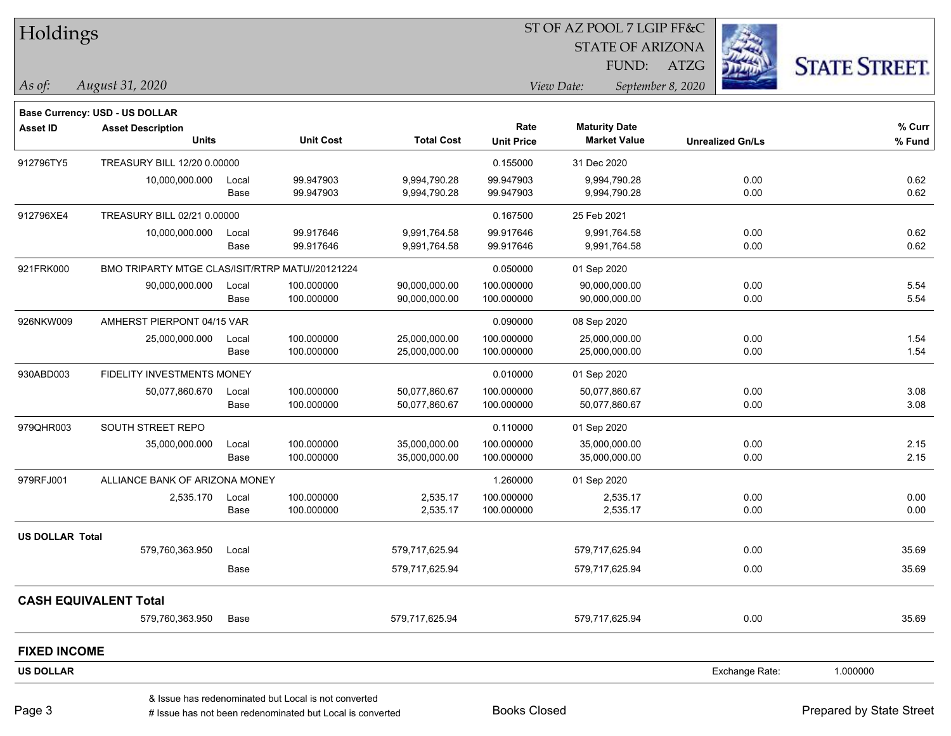| Holdings               |                                                 |       |                                                      |                   | ST OF AZ POOL 7 LGIP FF&C |                         |                   |                         |                      |
|------------------------|-------------------------------------------------|-------|------------------------------------------------------|-------------------|---------------------------|-------------------------|-------------------|-------------------------|----------------------|
|                        |                                                 |       |                                                      |                   |                           | <b>STATE OF ARIZONA</b> |                   |                         |                      |
|                        |                                                 |       |                                                      |                   |                           | FUND:                   | <b>ATZG</b>       |                         | <b>STATE STREET.</b> |
| As of:                 | August 31, 2020                                 |       |                                                      |                   |                           | View Date:              | September 8, 2020 |                         |                      |
|                        | <b>Base Currency: USD - US DOLLAR</b>           |       |                                                      |                   |                           |                         |                   |                         |                      |
| <b>Asset ID</b>        | <b>Asset Description</b>                        |       |                                                      |                   | Rate                      | <b>Maturity Date</b>    |                   |                         | % Curr               |
|                        | <b>Units</b>                                    |       | <b>Unit Cost</b>                                     | <b>Total Cost</b> | <b>Unit Price</b>         | <b>Market Value</b>     |                   | <b>Unrealized Gn/Ls</b> | % Fund               |
| 912796TY5              | TREASURY BILL 12/20 0.00000                     |       |                                                      |                   | 0.155000                  | 31 Dec 2020             |                   |                         |                      |
|                        | 10,000,000.000                                  | Local | 99.947903                                            | 9,994,790.28      | 99.947903                 | 9,994,790.28            |                   | 0.00                    | 0.62                 |
|                        |                                                 | Base  | 99.947903                                            | 9,994,790.28      | 99.947903                 | 9,994,790.28            |                   | 0.00                    | 0.62                 |
| 912796XE4              | TREASURY BILL 02/21 0.00000                     |       |                                                      |                   | 0.167500                  | 25 Feb 2021             |                   |                         |                      |
|                        | 10,000,000.000                                  | Local | 99.917646                                            | 9,991,764.58      | 99.917646                 | 9,991,764.58            |                   | 0.00                    | 0.62                 |
|                        |                                                 | Base  | 99.917646                                            | 9,991,764.58      | 99.917646                 | 9,991,764.58            |                   | 0.00                    | 0.62                 |
| 921FRK000              | BMO TRIPARTY MTGE CLAS/ISIT/RTRP MATU//20121224 |       |                                                      |                   | 0.050000                  | 01 Sep 2020             |                   |                         |                      |
|                        | 90,000,000.000                                  | Local | 100.000000                                           | 90,000,000.00     | 100.000000                | 90,000,000.00           |                   | 0.00                    | 5.54                 |
|                        |                                                 | Base  | 100.000000                                           | 90,000,000.00     | 100.000000                | 90,000,000.00           |                   | 0.00                    | 5.54                 |
| 926NKW009              | AMHERST PIERPONT 04/15 VAR                      |       |                                                      |                   | 0.090000                  | 08 Sep 2020             |                   |                         |                      |
|                        | 25,000,000.000                                  | Local | 100.000000                                           | 25,000,000.00     | 100.000000                | 25,000,000.00           |                   | 0.00                    | 1.54                 |
|                        |                                                 | Base  | 100.000000                                           | 25,000,000.00     | 100.000000                | 25,000,000.00           |                   | 0.00                    | 1.54                 |
| 930ABD003              | FIDELITY INVESTMENTS MONEY                      |       |                                                      |                   | 0.010000                  | 01 Sep 2020             |                   |                         |                      |
|                        | 50,077,860.670                                  | Local | 100.000000                                           | 50,077,860.67     | 100.000000                | 50,077,860.67           |                   | 0.00                    | 3.08                 |
|                        |                                                 | Base  | 100.000000                                           | 50,077,860.67     | 100.000000                | 50,077,860.67           |                   | 0.00                    | 3.08                 |
| 979QHR003              | SOUTH STREET REPO                               |       |                                                      |                   | 0.110000                  | 01 Sep 2020             |                   |                         |                      |
|                        | 35,000,000.000                                  | Local | 100.000000                                           | 35,000,000.00     | 100.000000                | 35,000,000.00           |                   | 0.00                    | 2.15                 |
|                        |                                                 | Base  | 100.000000                                           | 35,000,000.00     | 100.000000                | 35,000,000.00           |                   | 0.00                    | 2.15                 |
| 979RFJ001              | ALLIANCE BANK OF ARIZONA MONEY                  |       |                                                      |                   | 1.260000                  | 01 Sep 2020             |                   |                         |                      |
|                        | 2,535.170                                       | Local | 100.000000                                           | 2,535.17          | 100.000000                | 2,535.17                |                   | 0.00                    | 0.00                 |
|                        |                                                 | Base  | 100.000000                                           | 2,535.17          | 100.000000                | 2,535.17                |                   | 0.00                    | 0.00                 |
| <b>US DOLLAR Total</b> |                                                 |       |                                                      |                   |                           |                         |                   |                         |                      |
|                        | 579,760,363.950                                 | Local |                                                      | 579,717,625.94    |                           | 579,717,625.94          |                   | 0.00                    | 35.69                |
|                        |                                                 | Base  |                                                      | 579,717,625.94    |                           | 579,717,625.94          |                   | 0.00                    | 35.69                |
|                        | <b>CASH EQUIVALENT Total</b>                    |       |                                                      |                   |                           |                         |                   |                         |                      |
|                        | 579,760,363.950                                 | Base  |                                                      | 579,717,625.94    |                           | 579,717,625.94          |                   | 0.00                    | 35.69                |
| <b>FIXED INCOME</b>    |                                                 |       |                                                      |                   |                           |                         |                   |                         |                      |
|                        |                                                 |       |                                                      |                   |                           |                         |                   |                         |                      |
| <b>US DOLLAR</b>       |                                                 |       |                                                      |                   |                           |                         |                   | Exchange Rate:          | 1.000000             |
|                        |                                                 |       | & Issue has redenominated but Local is not converted |                   |                           |                         |                   |                         |                      |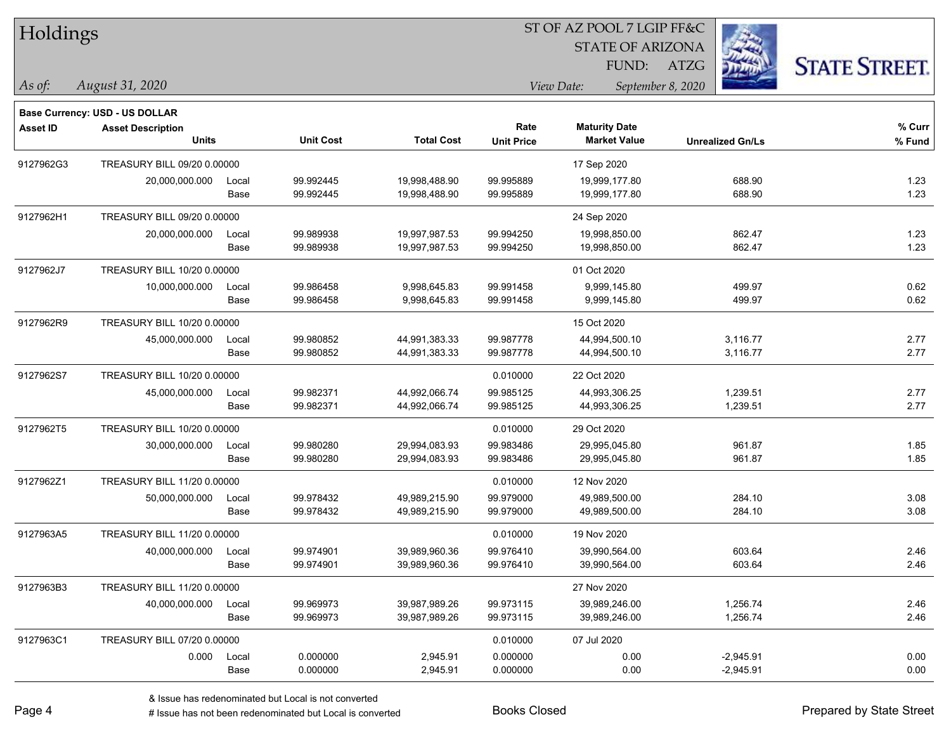| Holdings |  |
|----------|--|
|----------|--|

STATE OF ARIZONA

FUND: ATZG



**Base Currency: USD - US DOLLAR**

*August 31, 2020 As of: View Date: September 8, 2020*

| Asset ID  | <b>Asset Description</b><br><b>Units</b> |               | <b>Unit Cost</b>       | <b>Total Cost</b>              | Rate<br><b>Unit Price</b> | <b>Maturity Date</b><br><b>Market Value</b> | <b>Unrealized Gn/Ls</b>    | % Curr<br>% Fund |
|-----------|------------------------------------------|---------------|------------------------|--------------------------------|---------------------------|---------------------------------------------|----------------------------|------------------|
| 9127962G3 | TREASURY BILL 09/20 0.00000              |               |                        |                                |                           | 17 Sep 2020                                 |                            |                  |
|           | 20,000,000.000                           | Local<br>Base | 99.992445<br>99.992445 | 19,998,488.90<br>19,998,488.90 | 99.995889<br>99.995889    | 19,999,177.80<br>19,999,177.80              | 688.90<br>688.90           | 1.23<br>1.23     |
| 9127962H1 | TREASURY BILL 09/20 0.00000              |               |                        |                                |                           | 24 Sep 2020                                 |                            |                  |
|           | 20,000,000.000                           | Local<br>Base | 99.989938<br>99.989938 | 19,997,987.53<br>19,997,987.53 | 99.994250<br>99.994250    | 19,998,850.00<br>19,998,850.00              | 862.47<br>862.47           | 1.23<br>1.23     |
| 9127962J7 | TREASURY BILL 10/20 0.00000              |               |                        |                                |                           | 01 Oct 2020                                 |                            |                  |
|           | 10,000,000.000                           | Local<br>Base | 99.986458<br>99.986458 | 9,998,645.83<br>9,998,645.83   | 99.991458<br>99.991458    | 9,999,145.80<br>9,999,145.80                | 499.97<br>499.97           | 0.62<br>0.62     |
| 9127962R9 | TREASURY BILL 10/20 0.00000              |               |                        |                                |                           | 15 Oct 2020                                 |                            |                  |
|           | 45,000,000.000                           | Local<br>Base | 99.980852<br>99.980852 | 44,991,383.33<br>44,991,383.33 | 99.987778<br>99.987778    | 44,994,500.10<br>44,994,500.10              | 3,116.77<br>3,116.77       | 2.77<br>2.77     |
| 9127962S7 | TREASURY BILL 10/20 0.00000              |               |                        |                                | 0.010000                  | 22 Oct 2020                                 |                            |                  |
|           | 45,000,000.000                           | Local<br>Base | 99.982371<br>99.982371 | 44,992,066.74<br>44,992,066.74 | 99.985125<br>99.985125    | 44,993,306.25<br>44,993,306.25              | 1,239.51<br>1,239.51       | 2.77<br>2.77     |
| 9127962T5 | TREASURY BILL 10/20 0.00000              |               |                        |                                | 0.010000                  | 29 Oct 2020                                 |                            |                  |
|           | 30,000,000.000                           | Local<br>Base | 99.980280<br>99.980280 | 29,994,083.93<br>29,994,083.93 | 99.983486<br>99.983486    | 29,995,045.80<br>29,995,045.80              | 961.87<br>961.87           | 1.85<br>1.85     |
| 9127962Z1 | TREASURY BILL 11/20 0.00000              |               |                        |                                | 0.010000                  | 12 Nov 2020                                 |                            |                  |
|           | 50,000,000.000                           | Local<br>Base | 99.978432<br>99.978432 | 49,989,215.90<br>49,989,215.90 | 99.979000<br>99.979000    | 49,989,500.00<br>49,989,500.00              | 284.10<br>284.10           | 3.08<br>3.08     |
| 9127963A5 | TREASURY BILL 11/20 0.00000              |               |                        |                                | 0.010000                  | 19 Nov 2020                                 |                            |                  |
|           | 40,000,000.000                           | Local<br>Base | 99.974901<br>99.974901 | 39,989,960.36<br>39,989,960.36 | 99.976410<br>99.976410    | 39,990,564.00<br>39,990,564.00              | 603.64<br>603.64           | 2.46<br>2.46     |
| 9127963B3 | TREASURY BILL 11/20 0.00000              |               |                        |                                |                           | 27 Nov 2020                                 |                            |                  |
|           | 40,000,000.000                           | Local<br>Base | 99.969973<br>99.969973 | 39,987,989.26<br>39,987,989.26 | 99.973115<br>99.973115    | 39,989,246.00<br>39,989,246.00              | 1,256.74<br>1,256.74       | 2.46<br>2.46     |
| 9127963C1 | TREASURY BILL 07/20 0.00000              |               |                        |                                | 0.010000                  | 07 Jul 2020                                 |                            |                  |
|           | 0.000                                    | Local<br>Base | 0.000000<br>0.000000   | 2,945.91<br>2,945.91           | 0.000000<br>0.000000      | 0.00<br>0.00                                | $-2,945.91$<br>$-2,945.91$ | 0.00<br>0.00     |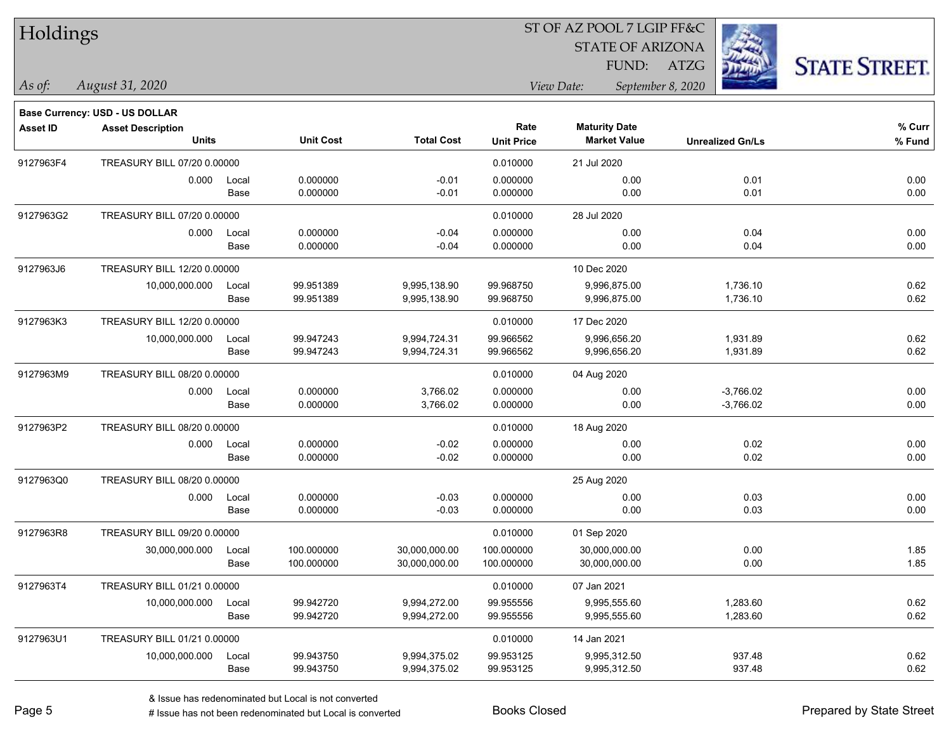| Holdings        |                                       |       |                  |                   | ST OF AZ POOL 7 LGIP FF&C |                         |                         |                      |  |  |
|-----------------|---------------------------------------|-------|------------------|-------------------|---------------------------|-------------------------|-------------------------|----------------------|--|--|
|                 |                                       |       |                  |                   |                           | <b>STATE OF ARIZONA</b> |                         |                      |  |  |
|                 |                                       |       |                  |                   |                           | FUND:                   | ATZG                    | <b>STATE STREET.</b> |  |  |
| $\vert$ As of:  | August 31, 2020                       |       |                  |                   |                           | View Date:              | September 8, 2020       |                      |  |  |
|                 | <b>Base Currency: USD - US DOLLAR</b> |       |                  |                   |                           |                         |                         |                      |  |  |
| <b>Asset ID</b> | <b>Asset Description</b>              |       |                  |                   | Rate                      | <b>Maturity Date</b>    |                         | % Curr               |  |  |
|                 | <b>Units</b>                          |       | <b>Unit Cost</b> | <b>Total Cost</b> | <b>Unit Price</b>         | <b>Market Value</b>     | <b>Unrealized Gn/Ls</b> | % Fund               |  |  |
| 9127963F4       | TREASURY BILL 07/20 0.00000           |       |                  |                   | 0.010000                  | 21 Jul 2020             |                         |                      |  |  |
|                 | 0.000                                 | Local | 0.000000         | $-0.01$           | 0.000000                  | 0.00                    | 0.01                    | 0.00                 |  |  |
|                 |                                       | Base  | 0.000000         | $-0.01$           | 0.000000                  | 0.00                    | 0.01                    | 0.00                 |  |  |
| 9127963G2       | TREASURY BILL 07/20 0.00000           |       |                  |                   | 0.010000                  | 28 Jul 2020             |                         |                      |  |  |
|                 | 0.000                                 | Local | 0.000000         | $-0.04$           | 0.000000                  | 0.00                    | 0.04                    | 0.00                 |  |  |
|                 |                                       | Base  | 0.000000         | $-0.04$           | 0.000000                  | 0.00                    | 0.04                    | 0.00                 |  |  |
| 9127963J6       | TREASURY BILL 12/20 0.00000           |       |                  |                   |                           | 10 Dec 2020             |                         |                      |  |  |
|                 | 10,000,000.000                        | Local | 99.951389        | 9,995,138.90      | 99.968750                 | 9,996,875.00            | 1,736.10                | 0.62                 |  |  |
|                 |                                       | Base  | 99.951389        | 9,995,138.90      | 99.968750                 | 9,996,875.00            | 1,736.10                | 0.62                 |  |  |
| 9127963K3       | TREASURY BILL 12/20 0.00000           |       |                  |                   | 0.010000                  | 17 Dec 2020             |                         |                      |  |  |
|                 | 10,000,000.000                        | Local | 99.947243        | 9,994,724.31      | 99.966562                 | 9,996,656.20            | 1,931.89                | 0.62                 |  |  |
|                 |                                       | Base  | 99.947243        | 9,994,724.31      | 99.966562                 | 9,996,656.20            | 1,931.89                | 0.62                 |  |  |
| 9127963M9       | TREASURY BILL 08/20 0.00000           |       |                  |                   | 0.010000                  | 04 Aug 2020             |                         |                      |  |  |
|                 | 0.000                                 | Local | 0.000000         | 3,766.02          | 0.000000                  | 0.00                    | $-3,766.02$             | 0.00                 |  |  |
|                 |                                       | Base  | 0.000000         | 3,766.02          | 0.000000                  | 0.00                    | $-3,766.02$             | 0.00                 |  |  |
| 9127963P2       | TREASURY BILL 08/20 0.00000           |       |                  |                   | 0.010000                  | 18 Aug 2020             |                         |                      |  |  |
|                 | 0.000                                 | Local | 0.000000         | $-0.02$           | 0.000000                  | 0.00                    | 0.02                    | 0.00                 |  |  |
|                 |                                       | Base  | 0.000000         | $-0.02$           | 0.000000                  | 0.00                    | 0.02                    | 0.00                 |  |  |
| 9127963Q0       | TREASURY BILL 08/20 0.00000           |       |                  |                   |                           | 25 Aug 2020             |                         |                      |  |  |
|                 | 0.000                                 | Local | 0.000000         | $-0.03$           | 0.000000                  | 0.00                    | 0.03                    | 0.00                 |  |  |
|                 |                                       | Base  | 0.000000         | $-0.03$           | 0.000000                  | 0.00                    | 0.03                    | 0.00                 |  |  |
| 9127963R8       | TREASURY BILL 09/20 0.00000           |       |                  |                   | 0.010000                  | 01 Sep 2020             |                         |                      |  |  |
|                 | 30,000,000.000                        | Local | 100.000000       | 30,000,000.00     | 100.000000                | 30,000,000.00           | 0.00                    | 1.85                 |  |  |
|                 |                                       | Base  | 100.000000       | 30,000,000.00     | 100.000000                | 30,000,000.00           | 0.00                    | 1.85                 |  |  |
| 9127963T4       | TREASURY BILL 01/21 0.00000           |       |                  |                   | 0.010000                  | 07 Jan 2021             |                         |                      |  |  |
|                 | 10,000,000.000                        | Local | 99.942720        | 9,994,272.00      | 99.955556                 | 9,995,555.60            | 1,283.60                | 0.62                 |  |  |
|                 |                                       | Base  | 99.942720        | 9,994,272.00      | 99.955556                 | 9,995,555.60            | 1,283.60                | 0.62                 |  |  |
| 9127963U1       | TREASURY BILL 01/21 0.00000           |       |                  |                   | 0.010000                  | 14 Jan 2021             |                         |                      |  |  |
|                 | 10,000,000.000                        | Local | 99.943750        | 9,994,375.02      | 99.953125                 | 9,995,312.50            | 937.48                  | 0.62                 |  |  |
|                 |                                       | Base  | 99.943750        | 9,994,375.02      | 99.953125                 | 9,995,312.50            | 937.48                  | 0.62                 |  |  |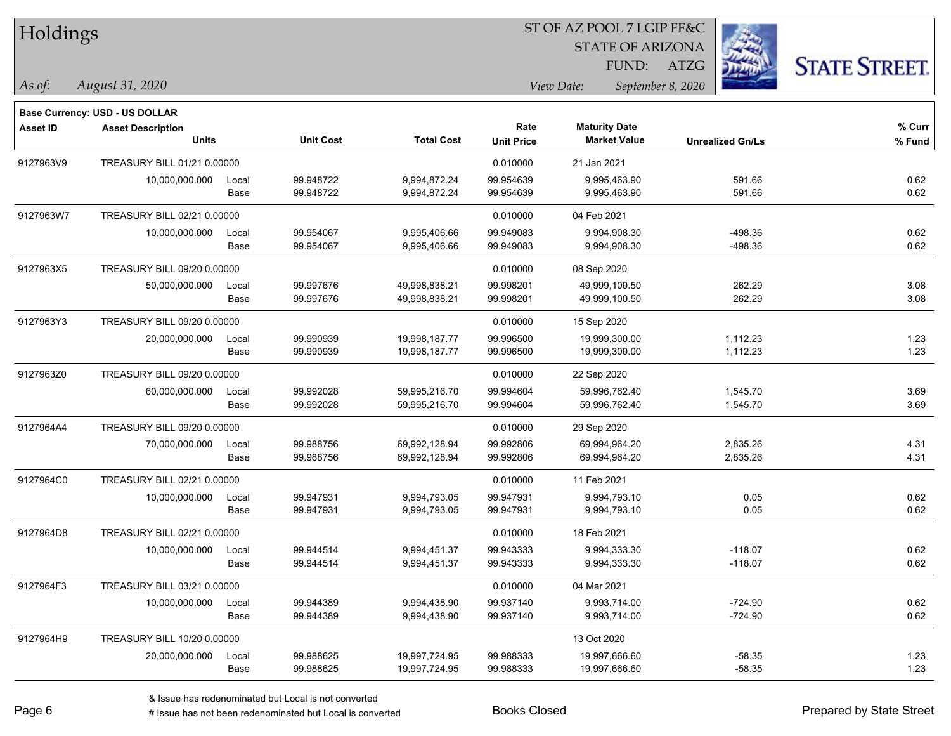| Holdings  |                                       |       |                  |                   |                   | ST OF AZ POOL 7 LGIP FF&C       |                         |                      |  |
|-----------|---------------------------------------|-------|------------------|-------------------|-------------------|---------------------------------|-------------------------|----------------------|--|
|           |                                       |       |                  |                   |                   | <b>STATE OF ARIZONA</b>         | Ź.                      |                      |  |
|           |                                       |       |                  |                   |                   | FUND:                           | <b>ATZG</b>             | <b>STATE STREET.</b> |  |
| As of:    | August 31, 2020                       |       |                  |                   |                   | View Date:<br>September 8, 2020 |                         |                      |  |
|           | <b>Base Currency: USD - US DOLLAR</b> |       |                  |                   |                   |                                 |                         |                      |  |
| Asset ID  | <b>Asset Description</b>              |       |                  |                   | Rate              | <b>Maturity Date</b>            |                         | % Curr               |  |
|           | <b>Units</b>                          |       | <b>Unit Cost</b> | <b>Total Cost</b> | <b>Unit Price</b> | <b>Market Value</b>             | <b>Unrealized Gn/Ls</b> | % Fund               |  |
| 9127963V9 | TREASURY BILL 01/21 0.00000           |       |                  |                   | 0.010000          | 21 Jan 2021                     |                         |                      |  |
|           | 10,000,000.000                        | Local | 99.948722        | 9,994,872.24      | 99.954639         | 9,995,463.90                    | 591.66                  | 0.62                 |  |
|           |                                       | Base  | 99.948722        | 9,994,872.24      | 99.954639         | 9,995,463.90                    | 591.66                  | 0.62                 |  |
| 9127963W7 | TREASURY BILL 02/21 0.00000           |       |                  |                   | 0.010000          | 04 Feb 2021                     |                         |                      |  |
|           | 10,000,000.000                        | Local | 99.954067        | 9,995,406.66      | 99.949083         | 9,994,908.30                    | -498.36                 | 0.62                 |  |
|           |                                       | Base  | 99.954067        | 9,995,406.66      | 99.949083         | 9,994,908.30                    | -498.36                 | 0.62                 |  |
| 9127963X5 | TREASURY BILL 09/20 0.00000           |       |                  |                   | 0.010000          | 08 Sep 2020                     |                         |                      |  |
|           | 50,000,000.000                        | Local | 99.997676        | 49,998,838.21     | 99.998201         | 49,999,100.50                   | 262.29                  | 3.08                 |  |
|           |                                       | Base  | 99.997676        | 49,998,838.21     | 99.998201         | 49,999,100.50                   | 262.29                  | 3.08                 |  |
| 9127963Y3 | TREASURY BILL 09/20 0.00000           |       |                  |                   | 0.010000          | 15 Sep 2020                     |                         |                      |  |
|           | 20,000,000.000                        | Local | 99.990939        | 19,998,187.77     | 99.996500         | 19,999,300.00                   | 1,112.23                | 1.23                 |  |
|           |                                       | Base  | 99.990939        | 19,998,187.77     | 99.996500         | 19,999,300.00                   | 1,112.23                | 1.23                 |  |
| 9127963Z0 | TREASURY BILL 09/20 0.00000           |       |                  |                   | 0.010000          | 22 Sep 2020                     |                         |                      |  |
|           | 60,000,000.000                        | Local | 99.992028        | 59,995,216.70     | 99.994604         | 59,996,762.40                   | 1,545.70                | 3.69                 |  |
|           |                                       | Base  | 99.992028        | 59,995,216.70     | 99.994604         | 59,996,762.40                   | 1,545.70                | 3.69                 |  |
| 9127964A4 | TREASURY BILL 09/20 0.00000           |       |                  |                   | 0.010000          | 29 Sep 2020                     |                         |                      |  |
|           | 70,000,000.000                        | Local | 99.988756        | 69,992,128.94     | 99.992806         | 69,994,964.20                   | 2,835.26                | 4.31                 |  |
|           |                                       | Base  | 99.988756        | 69,992,128.94     | 99.992806         | 69,994,964.20                   | 2,835.26                | 4.31                 |  |
| 9127964C0 | TREASURY BILL 02/21 0.00000           |       |                  |                   | 0.010000          | 11 Feb 2021                     |                         |                      |  |
|           | 10,000,000.000                        | Local | 99.947931        | 9,994,793.05      | 99.947931         | 9,994,793.10                    | 0.05                    | 0.62                 |  |
|           |                                       | Base  | 99.947931        | 9,994,793.05      | 99.947931         | 9,994,793.10                    | 0.05                    | 0.62                 |  |
| 9127964D8 | TREASURY BILL 02/21 0.00000           |       |                  |                   | 0.010000          | 18 Feb 2021                     |                         |                      |  |
|           | 10,000,000.000                        | Local | 99.944514        | 9,994,451.37      | 99.943333         | 9,994,333.30                    | $-118.07$               | 0.62                 |  |
|           |                                       | Base  | 99.944514        | 9,994,451.37      | 99.943333         | 9,994,333.30                    | $-118.07$               | 0.62                 |  |
| 9127964F3 | TREASURY BILL 03/21 0.00000           |       |                  |                   | 0.010000          | 04 Mar 2021                     |                         |                      |  |
|           | 10,000,000.000                        | Local | 99.944389        | 9,994,438.90      | 99.937140         | 9,993,714.00                    | $-724.90$               | 0.62                 |  |
|           |                                       | Base  | 99.944389        | 9,994,438.90      | 99.937140         | 9,993,714.00                    | $-724.90$               | 0.62                 |  |
| 9127964H9 | TREASURY BILL 10/20 0.00000           |       |                  |                   |                   | 13 Oct 2020                     |                         |                      |  |
|           | 20,000,000.000                        | Local | 99.988625        | 19,997,724.95     | 99.988333         | 19,997,666.60                   | $-58.35$                | 1.23                 |  |
|           |                                       | Base  | 99.988625        | 19,997,724.95     | 99.988333         | 19,997,666.60                   | $-58.35$                | 1.23                 |  |

÷.

-

 $\overline{\phantom{0}}$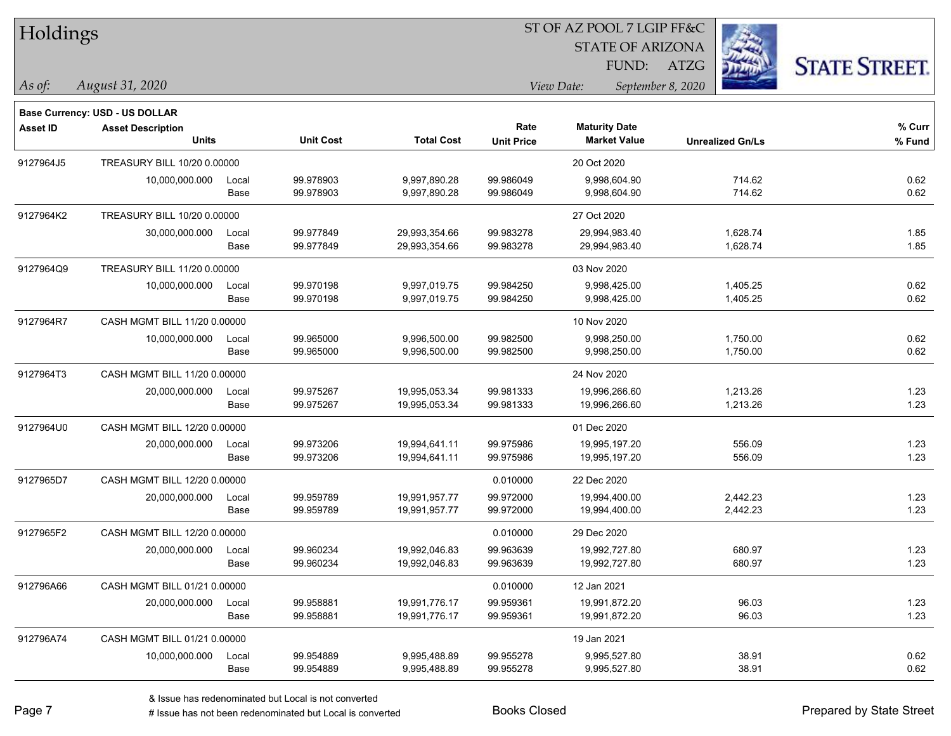| Holdings  |                                       |       |                  |                   | ST OF AZ POOL 7 LGIP FF&C |                         |                         |                      |  |  |
|-----------|---------------------------------------|-------|------------------|-------------------|---------------------------|-------------------------|-------------------------|----------------------|--|--|
|           |                                       |       |                  |                   |                           | <b>STATE OF ARIZONA</b> |                         |                      |  |  |
|           |                                       |       |                  |                   |                           | FUND:                   | ATZG                    | <b>STATE STREET.</b> |  |  |
| As of:    | August 31, 2020                       |       |                  |                   |                           | View Date:              | September 8, 2020       |                      |  |  |
|           | <b>Base Currency: USD - US DOLLAR</b> |       |                  |                   |                           |                         |                         |                      |  |  |
| Asset ID  | <b>Asset Description</b>              |       |                  |                   | Rate                      | <b>Maturity Date</b>    |                         | % Curr               |  |  |
|           | <b>Units</b>                          |       | <b>Unit Cost</b> | <b>Total Cost</b> | <b>Unit Price</b>         | <b>Market Value</b>     | <b>Unrealized Gn/Ls</b> | % Fund               |  |  |
| 9127964J5 | TREASURY BILL 10/20 0.00000           |       |                  |                   |                           | 20 Oct 2020             |                         |                      |  |  |
|           | 10,000,000.000                        | Local | 99.978903        | 9,997,890.28      | 99.986049                 | 9,998,604.90            | 714.62                  | 0.62                 |  |  |
|           |                                       | Base  | 99.978903        | 9,997,890.28      | 99.986049                 | 9,998,604.90            | 714.62                  | 0.62                 |  |  |
| 9127964K2 | TREASURY BILL 10/20 0.00000           |       |                  |                   |                           | 27 Oct 2020             |                         |                      |  |  |
|           | 30,000,000.000                        | Local | 99.977849        | 29,993,354.66     | 99.983278                 | 29,994,983.40           | 1,628.74                | 1.85                 |  |  |
|           |                                       | Base  | 99.977849        | 29,993,354.66     | 99.983278                 | 29,994,983.40           | 1,628.74                | 1.85                 |  |  |
| 9127964Q9 | TREASURY BILL 11/20 0.00000           |       |                  |                   |                           | 03 Nov 2020             |                         |                      |  |  |
|           | 10,000,000.000                        | Local | 99.970198        | 9,997,019.75      | 99.984250                 | 9,998,425.00            | 1,405.25                | 0.62                 |  |  |
|           |                                       | Base  | 99.970198        | 9,997,019.75      | 99.984250                 | 9,998,425.00            | 1,405.25                | 0.62                 |  |  |
| 9127964R7 | CASH MGMT BILL 11/20 0.00000          |       |                  |                   |                           | 10 Nov 2020             |                         |                      |  |  |
|           | 10,000,000.000                        | Local | 99.965000        | 9,996,500.00      | 99.982500                 | 9,998,250.00            | 1,750.00                | 0.62                 |  |  |
|           |                                       | Base  | 99.965000        | 9,996,500.00      | 99.982500                 | 9,998,250.00            | 1,750.00                | 0.62                 |  |  |
| 9127964T3 | CASH MGMT BILL 11/20 0.00000          |       |                  |                   |                           | 24 Nov 2020             |                         |                      |  |  |
|           | 20,000,000.000                        | Local | 99.975267        | 19,995,053.34     | 99.981333                 | 19,996,266.60           | 1,213.26                | 1.23                 |  |  |
|           |                                       | Base  | 99.975267        | 19,995,053.34     | 99.981333                 | 19,996,266.60           | 1,213.26                | 1.23                 |  |  |
| 9127964U0 | CASH MGMT BILL 12/20 0.00000          |       |                  |                   |                           | 01 Dec 2020             |                         |                      |  |  |
|           | 20,000,000.000                        | Local | 99.973206        | 19,994,641.11     | 99.975986                 | 19,995,197.20           | 556.09                  | 1.23                 |  |  |
|           |                                       | Base  | 99.973206        | 19,994,641.11     | 99.975986                 | 19,995,197.20           | 556.09                  | 1.23                 |  |  |
| 9127965D7 | CASH MGMT BILL 12/20 0.00000          |       |                  |                   | 0.010000                  | 22 Dec 2020             |                         |                      |  |  |
|           | 20,000,000.000                        | Local | 99.959789        | 19,991,957.77     | 99.972000                 | 19,994,400.00           | 2,442.23                | 1.23                 |  |  |
|           |                                       | Base  | 99.959789        | 19,991,957.77     | 99.972000                 | 19,994,400.00           | 2,442.23                | 1.23                 |  |  |
| 9127965F2 | CASH MGMT BILL 12/20 0.00000          |       |                  |                   | 0.010000                  | 29 Dec 2020             |                         |                      |  |  |
|           | 20,000,000.000                        | Local | 99.960234        | 19,992,046.83     | 99.963639                 | 19,992,727.80           | 680.97                  | 1.23                 |  |  |
|           |                                       | Base  | 99.960234        | 19,992,046.83     | 99.963639                 | 19,992,727.80           | 680.97                  | 1.23                 |  |  |
| 912796A66 | CASH MGMT BILL 01/21 0.00000          |       |                  |                   | 0.010000                  | 12 Jan 2021             |                         |                      |  |  |
|           | 20,000,000.000                        | Local | 99.958881        | 19,991,776.17     | 99.959361                 | 19,991,872.20           | 96.03                   | 1.23                 |  |  |
|           |                                       | Base  | 99.958881        | 19,991,776.17     | 99.959361                 | 19,991,872.20           | 96.03                   | 1.23                 |  |  |
| 912796A74 | CASH MGMT BILL 01/21 0.00000          |       |                  |                   |                           | 19 Jan 2021             |                         |                      |  |  |
|           | 10,000,000.000                        | Local | 99.954889        | 9,995,488.89      | 99.955278                 | 9,995,527.80            | 38.91                   | 0.62                 |  |  |
|           |                                       | Base  | 99.954889        | 9,995,488.89      | 99.955278                 | 9,995,527.80            | 38.91                   | 0.62                 |  |  |

 $\sim$ 

 $\overline{\phantom{0}}$ 

 $\overline{\phantom{0}}$ 

 $\overline{\phantom{0}}$ 

 $\overline{\phantom{0}}$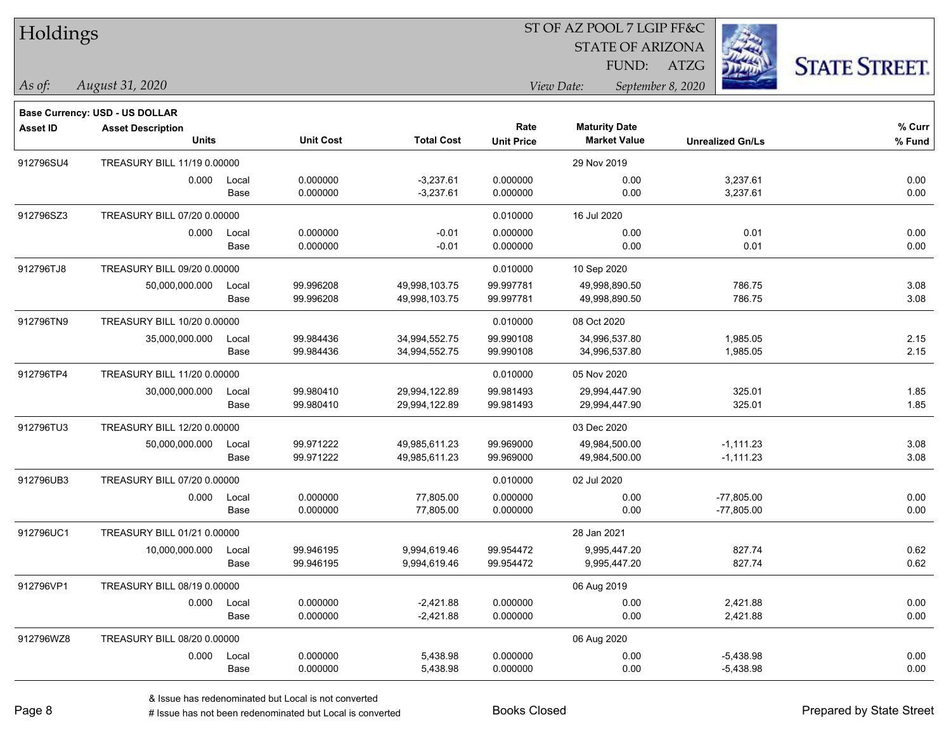| Holdings |
|----------|
|          |

STATE OF ARIZONA

FUND: ATZG



*As of: View Date: September 8, 2020*

| As of: | August 31, 2020 |  |
|--------|-----------------|--|
|        |                 |  |

|           | Base Currency: USD - US DOLLAR |       |                  |                   |                   |                      |                         |        |
|-----------|--------------------------------|-------|------------------|-------------------|-------------------|----------------------|-------------------------|--------|
| Asset ID  | <b>Asset Description</b>       |       |                  |                   | Rate              | <b>Maturity Date</b> |                         | % Curr |
|           | <b>Units</b>                   |       | <b>Unit Cost</b> | <b>Total Cost</b> | <b>Unit Price</b> | <b>Market Value</b>  | <b>Unrealized Gn/Ls</b> | % Fund |
| 912796SU4 | TREASURY BILL 11/19 0.00000    |       |                  |                   |                   | 29 Nov 2019          |                         |        |
|           | 0.000                          | Local | 0.000000         | $-3,237.61$       | 0.000000          | 0.00                 | 3,237.61                | 0.00   |
|           |                                | Base  | 0.000000         | $-3,237.61$       | 0.000000          | 0.00                 | 3,237.61                | 0.00   |
| 912796SZ3 | TREASURY BILL 07/20 0.00000    |       |                  |                   | 0.010000          | 16 Jul 2020          |                         |        |
|           | 0.000                          | Local | 0.000000         | $-0.01$           | 0.000000          | 0.00                 | 0.01                    | 0.00   |
|           |                                | Base  | 0.000000         | $-0.01$           | 0.000000          | 0.00                 | 0.01                    | 0.00   |
| 912796TJ8 | TREASURY BILL 09/20 0.00000    |       |                  |                   | 0.010000          | 10 Sep 2020          |                         |        |
|           | 50,000,000.000                 | Local | 99.996208        | 49,998,103.75     | 99.997781         | 49,998,890.50        | 786.75                  | 3.08   |
|           |                                | Base  | 99.996208        | 49,998,103.75     | 99.997781         | 49,998,890.50        | 786.75                  | 3.08   |
| 912796TN9 | TREASURY BILL 10/20 0.00000    |       |                  |                   | 0.010000          | 08 Oct 2020          |                         |        |
|           | 35,000,000.000                 | Local | 99.984436        | 34,994,552.75     | 99.990108         | 34,996,537.80        | 1,985.05                | 2.15   |
|           |                                | Base  | 99.984436        | 34,994,552.75     | 99.990108         | 34,996,537.80        | 1,985.05                | 2.15   |
| 912796TP4 | TREASURY BILL 11/20 0.00000    |       |                  |                   | 0.010000          | 05 Nov 2020          |                         |        |
|           | 30,000,000.000                 | Local | 99.980410        | 29,994,122.89     | 99.981493         | 29,994,447.90        | 325.01                  | 1.85   |
|           |                                | Base  | 99.980410        | 29,994,122.89     | 99.981493         | 29,994,447.90        | 325.01                  | 1.85   |
| 912796TU3 | TREASURY BILL 12/20 0.00000    |       |                  |                   |                   | 03 Dec 2020          |                         |        |
|           | 50,000,000.000                 | Local | 99.971222        | 49,985,611.23     | 99.969000         | 49,984,500.00        | $-1,111.23$             | 3.08   |
|           |                                | Base  | 99.971222        | 49,985,611.23     | 99.969000         | 49,984,500.00        | $-1,111.23$             | 3.08   |
| 912796UB3 | TREASURY BILL 07/20 0.00000    |       |                  |                   | 0.010000          | 02 Jul 2020          |                         |        |
|           | 0.000                          | Local | 0.000000         | 77,805.00         | 0.000000          | 0.00                 | $-77,805.00$            | 0.00   |
|           |                                | Base  | 0.000000         | 77,805.00         | 0.000000          | 0.00                 | $-77,805.00$            | 0.00   |
| 912796UC1 | TREASURY BILL 01/21 0.00000    |       |                  |                   |                   | 28 Jan 2021          |                         |        |
|           | 10,000,000.000                 | Local | 99.946195        | 9,994,619.46      | 99.954472         | 9,995,447.20         | 827.74                  | 0.62   |
|           |                                | Base  | 99.946195        | 9,994,619.46      | 99.954472         | 9,995,447.20         | 827.74                  | 0.62   |
| 912796VP1 | TREASURY BILL 08/19 0.00000    |       |                  |                   |                   | 06 Aug 2019          |                         |        |
|           | 0.000                          | Local | 0.000000         | $-2,421.88$       | 0.000000          | 0.00                 | 2,421.88                | 0.00   |
|           |                                | Base  | 0.000000         | $-2,421.88$       | 0.000000          | 0.00                 | 2,421.88                | 0.00   |
| 912796WZ8 | TREASURY BILL 08/20 0.00000    |       |                  |                   |                   | 06 Aug 2020          |                         |        |
|           | 0.000                          | Local | 0.000000         | 5,438.98          | 0.000000          | 0.00                 | $-5,438.98$             | 0.00   |
|           |                                | Base  | 0.000000         | 5,438.98          | 0.000000          | 0.00                 | $-5,438.98$             | 0.00   |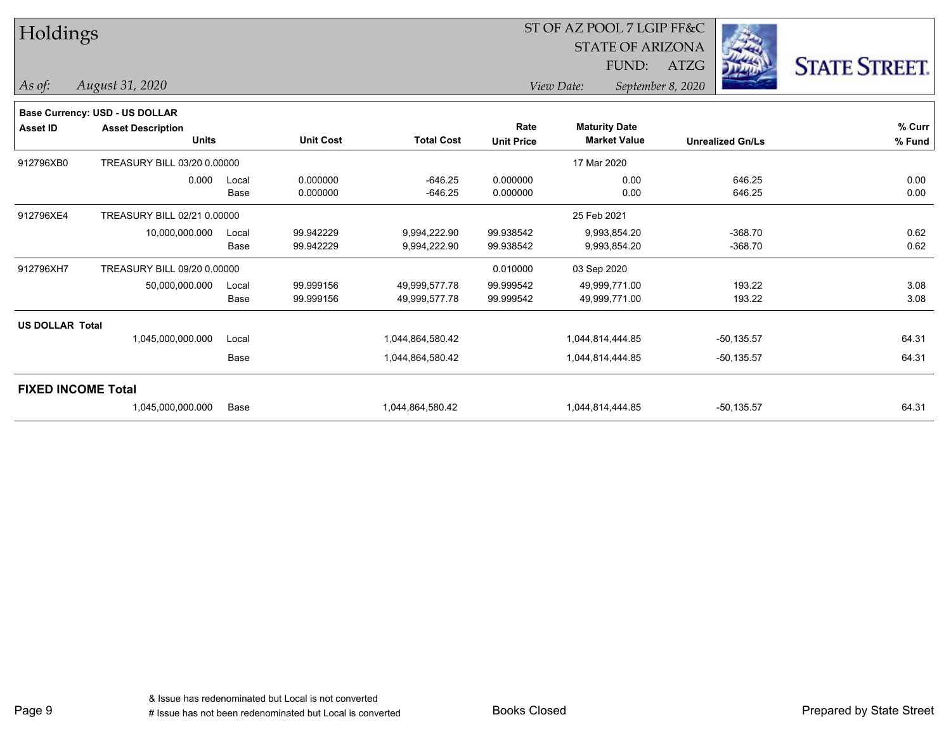| Holdings                  |                                |       |                  |                   |                   | ST OF AZ POOL 7 LGIP FF&C |                         |                      |
|---------------------------|--------------------------------|-------|------------------|-------------------|-------------------|---------------------------|-------------------------|----------------------|
|                           |                                |       |                  |                   |                   | <b>STATE OF ARIZONA</b>   |                         |                      |
|                           |                                |       |                  |                   |                   | FUND:                     | ATZG                    | <b>STATE STREET.</b> |
| As of:                    | August 31, 2020                |       |                  |                   |                   | View Date:                | September 8, 2020       |                      |
|                           | Base Currency: USD - US DOLLAR |       |                  |                   |                   |                           |                         |                      |
| Asset ID                  | <b>Asset Description</b>       |       |                  |                   | Rate              | <b>Maturity Date</b>      |                         | % Curr               |
|                           | <b>Units</b>                   |       | <b>Unit Cost</b> | <b>Total Cost</b> | <b>Unit Price</b> | <b>Market Value</b>       | <b>Unrealized Gn/Ls</b> | % Fund               |
| 912796XB0                 | TREASURY BILL 03/20 0.00000    |       |                  |                   |                   | 17 Mar 2020               |                         |                      |
|                           | 0.000                          | Local | 0.000000         | $-646.25$         | 0.000000          | 0.00                      | 646.25                  | 0.00                 |
|                           |                                | Base  | 0.000000         | $-646.25$         | 0.000000          | 0.00                      | 646.25                  | 0.00                 |
| 912796XE4                 | TREASURY BILL 02/21 0.00000    |       |                  |                   |                   | 25 Feb 2021               |                         |                      |
|                           | 10,000,000.000                 | Local | 99.942229        | 9,994,222.90      | 99.938542         | 9,993,854.20              | $-368.70$               | 0.62                 |
|                           |                                | Base  | 99.942229        | 9,994,222.90      | 99.938542         | 9,993,854.20              | $-368.70$               | 0.62                 |
| 912796XH7                 | TREASURY BILL 09/20 0.00000    |       |                  |                   | 0.010000          | 03 Sep 2020               |                         |                      |
|                           | 50,000,000.000                 | Local | 99.999156        | 49,999,577.78     | 99.999542         | 49,999,771.00             | 193.22                  | 3.08                 |
|                           |                                | Base  | 99.999156        | 49,999,577.78     | 99.999542         | 49,999,771.00             | 193.22                  | 3.08                 |
| <b>US DOLLAR Total</b>    |                                |       |                  |                   |                   |                           |                         |                      |
|                           | 1,045,000,000.000              | Local |                  | 1,044,864,580.42  |                   | 1,044,814,444.85          | $-50, 135.57$           | 64.31                |
|                           |                                | Base  |                  | 1,044,864,580.42  |                   | 1,044,814,444.85          | $-50, 135.57$           | 64.31                |
| <b>FIXED INCOME Total</b> |                                |       |                  |                   |                   |                           |                         |                      |
|                           | 1,045,000,000.000              | Base  |                  | 1,044,864,580.42  |                   | 1,044,814,444.85          | $-50, 135.57$           | 64.31                |

L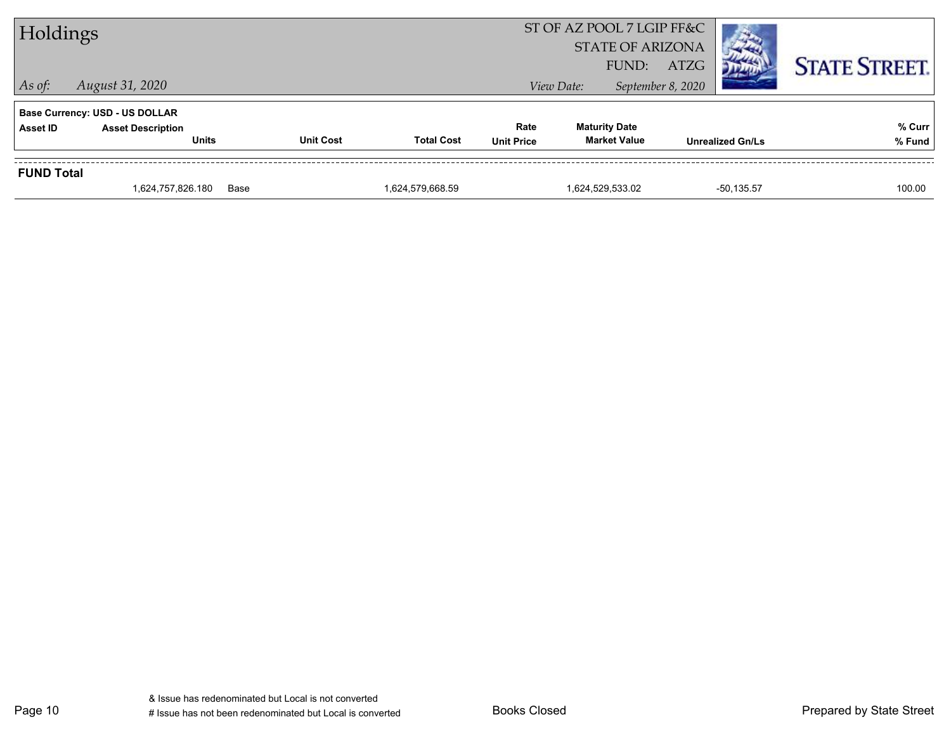| Holdings          |                                       |                  |                   |                   | ST OF AZ POOL 7 LGIP FF&C<br><b>STATE OF ARIZONA</b><br>FUND: | <b>ATZG</b>             | <b>STATE STREET.</b> |
|-------------------|---------------------------------------|------------------|-------------------|-------------------|---------------------------------------------------------------|-------------------------|----------------------|
| $\vert$ As of:    | August 31, 2020                       |                  |                   |                   | View Date:                                                    | September 8, 2020       |                      |
|                   | <b>Base Currency: USD - US DOLLAR</b> |                  |                   |                   |                                                               |                         |                      |
| <b>Asset ID</b>   | <b>Asset Description</b>              |                  |                   | Rate              | <b>Maturity Date</b>                                          |                         | % Curr               |
|                   | <b>Units</b>                          | <b>Unit Cost</b> | <b>Total Cost</b> | <b>Unit Price</b> | <b>Market Value</b>                                           | <b>Unrealized Gn/Ls</b> | % Fund               |
| <b>FUND Total</b> |                                       |                  |                   |                   |                                                               |                         |                      |
|                   | 1,624,757,826.180                     | Base             | 1,624,579,668.59  |                   | 1,624,529,533.02                                              | $-50, 135.57$           | 100.00               |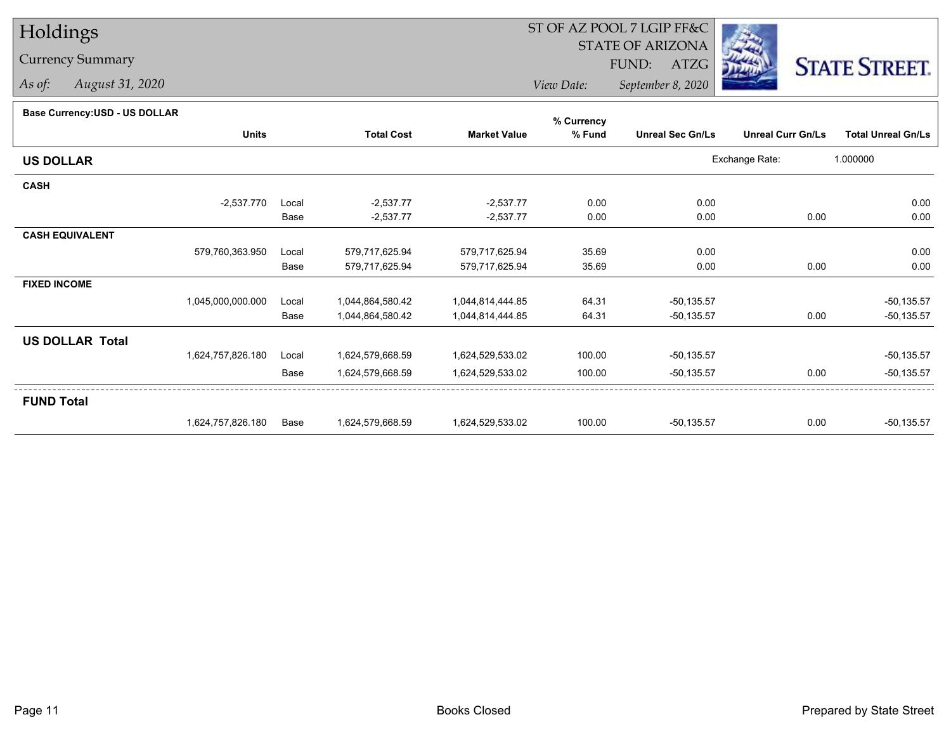# Holdings

### Currency Summary

*As of: August 31, 2020*

## ST OF AZ POOL 7 LGIP FF&C

STATE OF ARIZONA

FUND: ATZG



*View Date:September 8, 2020*

#### **Base Currency:USD - US DOLLAR**

|                        |                   |       |                   |                     | % Currency |                         |                          |                           |
|------------------------|-------------------|-------|-------------------|---------------------|------------|-------------------------|--------------------------|---------------------------|
|                        | <b>Units</b>      |       | <b>Total Cost</b> | <b>Market Value</b> | % Fund     | <b>Unreal Sec Gn/Ls</b> | <b>Unreal Curr Gn/Ls</b> | <b>Total Unreal Gn/Ls</b> |
| <b>US DOLLAR</b>       |                   |       |                   |                     |            |                         | Exchange Rate:           | 1.000000                  |
| <b>CASH</b>            |                   |       |                   |                     |            |                         |                          |                           |
|                        | $-2,537.770$      | Local | $-2,537.77$       | $-2,537.77$         | 0.00       | 0.00                    |                          | 0.00                      |
|                        |                   | Base  | $-2,537.77$       | $-2,537.77$         | 0.00       | 0.00                    | 0.00                     | 0.00                      |
| <b>CASH EQUIVALENT</b> |                   |       |                   |                     |            |                         |                          |                           |
|                        | 579,760,363.950   | Local | 579,717,625.94    | 579,717,625.94      | 35.69      | 0.00                    |                          | 0.00                      |
|                        |                   | Base  | 579,717,625.94    | 579,717,625.94      | 35.69      | 0.00                    | 0.00                     | 0.00                      |
| <b>FIXED INCOME</b>    |                   |       |                   |                     |            |                         |                          |                           |
|                        | 1,045,000,000.000 | Local | 1,044,864,580.42  | 1,044,814,444.85    | 64.31      | $-50, 135.57$           |                          | $-50,135.57$              |
|                        |                   | Base  | 1,044,864,580.42  | 1,044,814,444.85    | 64.31      | $-50,135.57$            | 0.00                     | $-50, 135.57$             |
| <b>US DOLLAR Total</b> |                   |       |                   |                     |            |                         |                          |                           |
|                        | 1,624,757,826.180 | Local | 1,624,579,668.59  | 1,624,529,533.02    | 100.00     | $-50, 135.57$           |                          | $-50,135.57$              |
|                        |                   | Base  | 1,624,579,668.59  | 1,624,529,533.02    | 100.00     | $-50, 135.57$           | 0.00                     | $-50,135.57$              |
| <b>FUND Total</b>      |                   |       |                   |                     |            |                         |                          |                           |
|                        | 1,624,757,826.180 | Base  | 1,624,579,668.59  | 1,624,529,533.02    | 100.00     | $-50, 135.57$           | 0.00                     | $-50,135.57$              |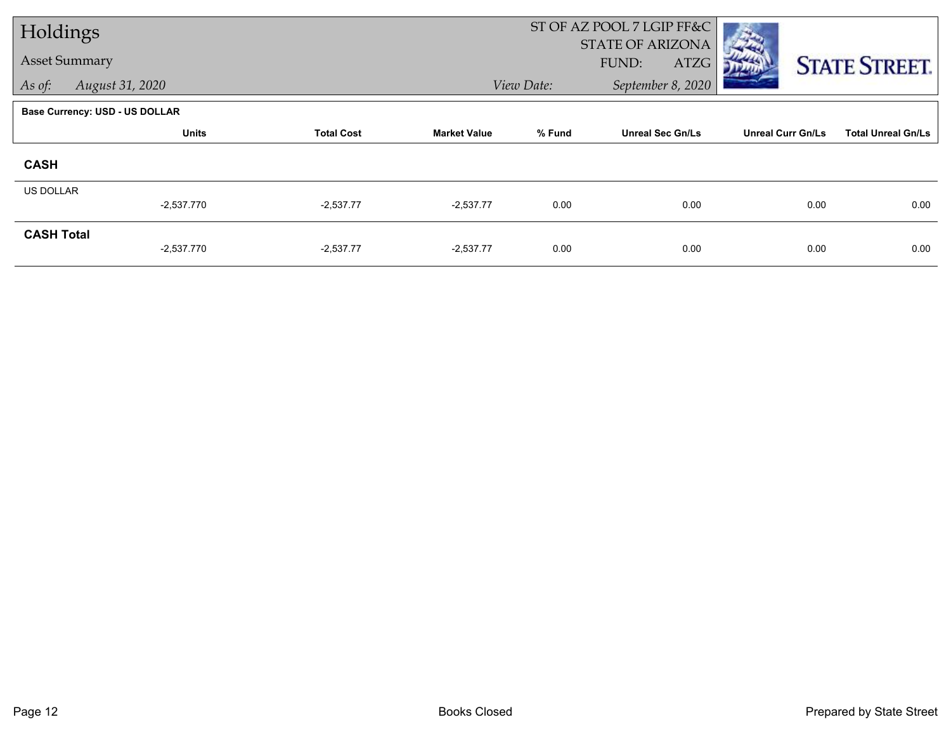| Holdings             |                                |                   |                     | ST OF AZ POOL 7 LGIP FF&C |                         |                          |                           |
|----------------------|--------------------------------|-------------------|---------------------|---------------------------|-------------------------|--------------------------|---------------------------|
|                      |                                |                   |                     |                           | <b>STATE OF ARIZONA</b> |                          |                           |
| <b>Asset Summary</b> |                                |                   |                     |                           | FUND:<br>ATZG           |                          | <b>STATE STREET.</b>      |
| As of:               | August 31, 2020                |                   |                     | View Date:                | September 8, 2020       |                          |                           |
|                      | Base Currency: USD - US DOLLAR |                   |                     |                           |                         |                          |                           |
|                      | <b>Units</b>                   | <b>Total Cost</b> | <b>Market Value</b> | % Fund                    | <b>Unreal Sec Gn/Ls</b> | <b>Unreal Curr Gn/Ls</b> | <b>Total Unreal Gn/Ls</b> |
| <b>CASH</b>          |                                |                   |                     |                           |                         |                          |                           |
| <b>US DOLLAR</b>     |                                |                   |                     |                           |                         |                          |                           |
|                      | $-2,537.770$                   | $-2,537.77$       | $-2,537.77$         | 0.00                      | 0.00                    | 0.00                     | 0.00                      |
| <b>CASH Total</b>    |                                |                   |                     |                           |                         |                          |                           |
|                      | $-2,537.770$                   | $-2,537.77$       | $-2,537.77$         | 0.00                      | 0.00                    | 0.00                     | 0.00                      |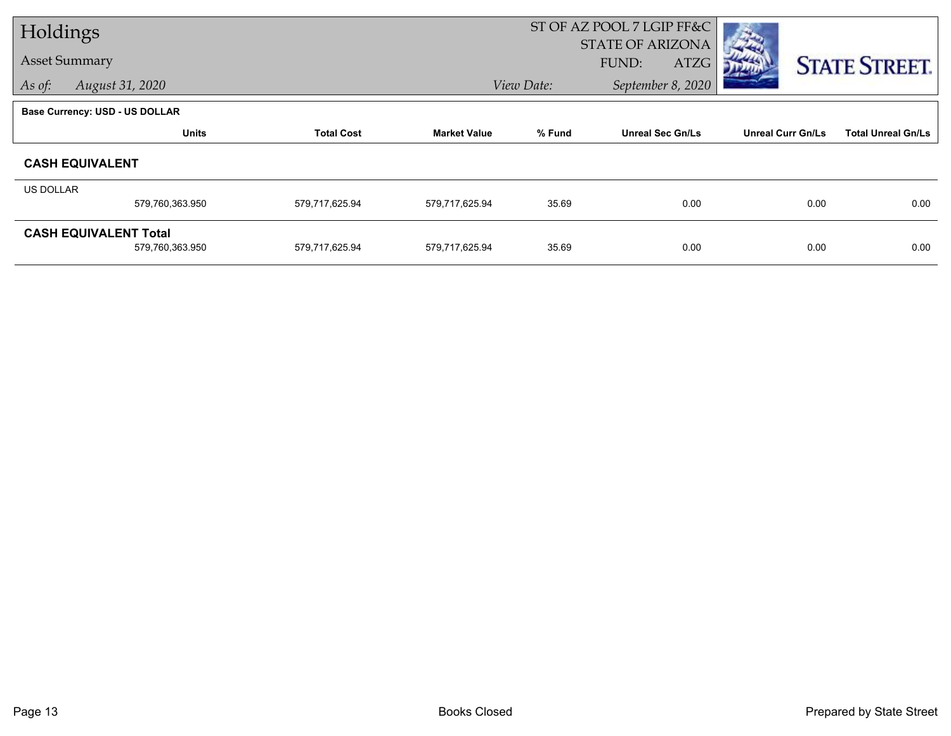| Holdings  |                                       |                   |                     | ST OF AZ POOL 7 LGIP FF&C |                         |                          |                           |
|-----------|---------------------------------------|-------------------|---------------------|---------------------------|-------------------------|--------------------------|---------------------------|
|           | <b>Asset Summary</b>                  |                   |                     |                           | <b>STATE OF ARIZONA</b> |                          |                           |
|           |                                       |                   |                     |                           | FUND:<br>ATZG           |                          | <b>STATE STREET.</b>      |
| As of:    | August 31, 2020                       |                   |                     | View Date:                | September 8, 2020       |                          |                           |
|           | <b>Base Currency: USD - US DOLLAR</b> |                   |                     |                           |                         |                          |                           |
|           | <b>Units</b>                          | <b>Total Cost</b> | <b>Market Value</b> | % Fund                    | <b>Unreal Sec Gn/Ls</b> | <b>Unreal Curr Gn/Ls</b> | <b>Total Unreal Gn/Ls</b> |
|           | <b>CASH EQUIVALENT</b>                |                   |                     |                           |                         |                          |                           |
| US DOLLAR |                                       |                   |                     |                           |                         |                          |                           |
|           | 579,760,363.950                       | 579,717,625.94    | 579,717,625.94      | 35.69                     | 0.00                    | 0.00                     | 0.00                      |
|           | <b>CASH EQUIVALENT Total</b>          |                   |                     |                           |                         |                          |                           |
|           | 579,760,363.950                       | 579,717,625.94    | 579,717,625.94      | 35.69                     | 0.00                    | 0.00                     | 0.00                      |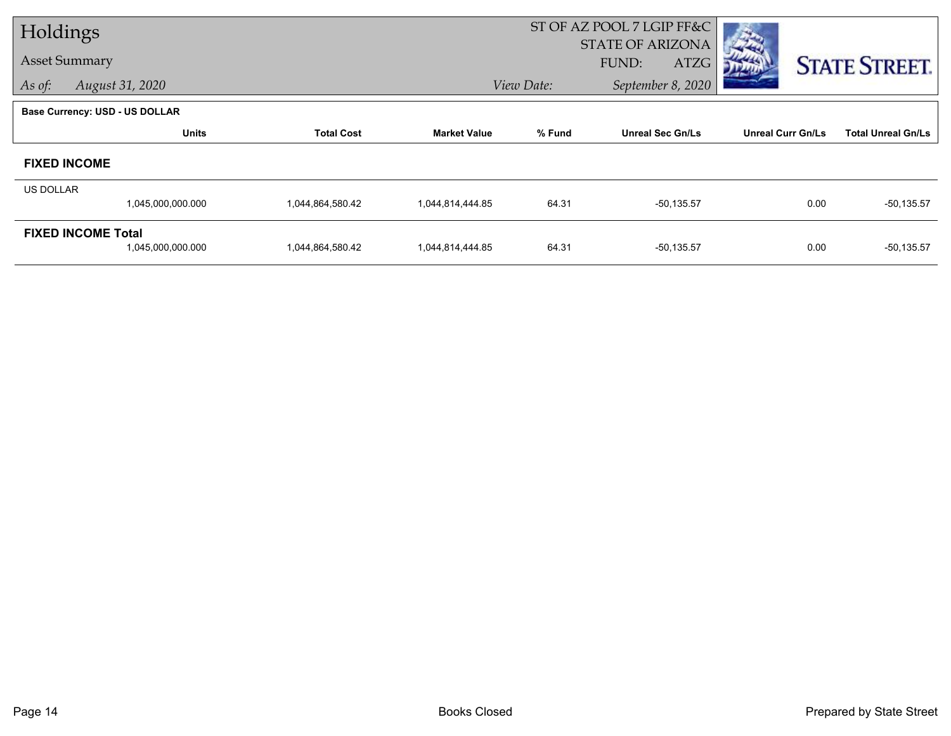| Holdings         |                                       |                   |                     | ST OF AZ POOL 7 LGIP FF&C |                         |                          |                           |
|------------------|---------------------------------------|-------------------|---------------------|---------------------------|-------------------------|--------------------------|---------------------------|
|                  |                                       |                   |                     |                           | <b>STATE OF ARIZONA</b> |                          |                           |
|                  | <b>Asset Summary</b>                  |                   |                     |                           | FUND:<br>ATZG           |                          | <b>STATE STREET.</b>      |
| As of:           | August 31, 2020                       |                   |                     | View Date:                | September 8, 2020       |                          |                           |
|                  | <b>Base Currency: USD - US DOLLAR</b> |                   |                     |                           |                         |                          |                           |
|                  | <b>Units</b>                          | <b>Total Cost</b> | <b>Market Value</b> | % Fund                    | <b>Unreal Sec Gn/Ls</b> | <b>Unreal Curr Gn/Ls</b> | <b>Total Unreal Gn/Ls</b> |
|                  | <b>FIXED INCOME</b>                   |                   |                     |                           |                         |                          |                           |
| <b>US DOLLAR</b> |                                       |                   |                     |                           |                         |                          |                           |
|                  | 1,045,000,000.000                     | 1,044,864,580.42  | 1,044,814,444.85    | 64.31                     | $-50, 135.57$           | 0.00                     | $-50,135.57$              |
|                  | <b>FIXED INCOME Total</b>             |                   |                     |                           |                         |                          |                           |
|                  | 1,045,000,000.000                     | 1,044,864,580.42  | 1,044,814,444.85    | 64.31                     | $-50, 135.57$           | 0.00                     | $-50, 135.57$             |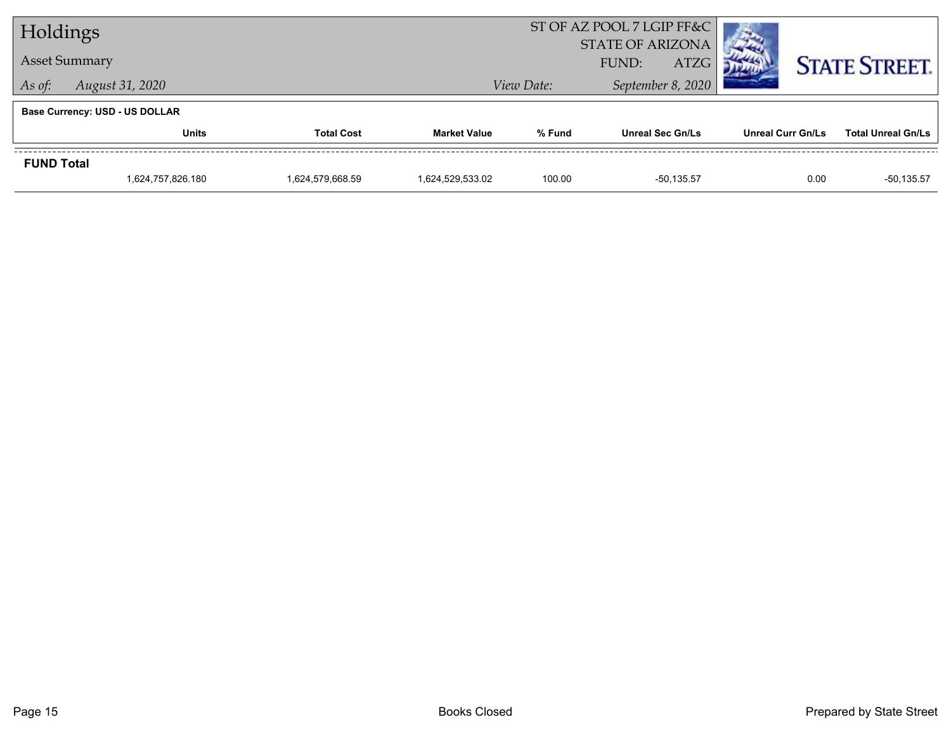| Holdings             |                                       |                   |                     | ST OF AZ POOL 7 LGIP FF&C |                                                 |                          |                           |
|----------------------|---------------------------------------|-------------------|---------------------|---------------------------|-------------------------------------------------|--------------------------|---------------------------|
| <b>Asset Summary</b> |                                       |                   |                     |                           | <b>STATE OF ARIZONA</b><br><b>ATZG</b><br>FUND: |                          | <b>STATE STREET.</b>      |
| As of:               | August 31, 2020                       |                   |                     | View Date:                | September 8, 2020                               |                          |                           |
|                      | <b>Base Currency: USD - US DOLLAR</b> |                   |                     |                           |                                                 |                          |                           |
|                      | Units                                 | <b>Total Cost</b> | <b>Market Value</b> | % Fund                    | <b>Unreal Sec Gn/Ls</b>                         | <b>Unreal Curr Gn/Ls</b> | <b>Total Unreal Gn/Ls</b> |
| <b>FUND Total</b>    |                                       |                   |                     |                           |                                                 |                          |                           |
|                      | 1,624,757,826.180                     | 1,624,579,668.59  | 1,624,529,533.02    | 100.00                    | -50.135.57                                      | 0.00                     | $-50, 135.57$             |